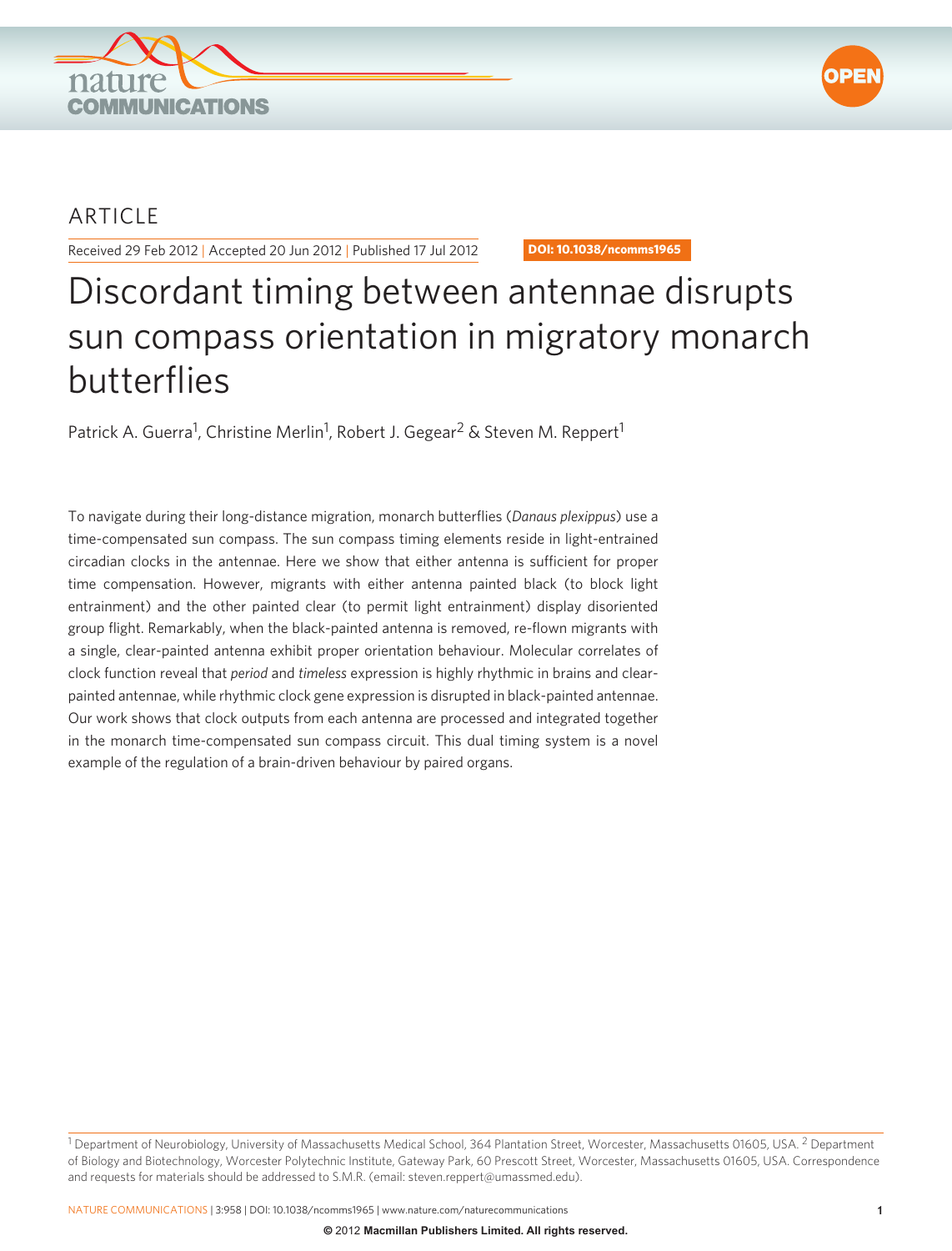



# ARTICLE

Received 29 Feb 2012 | Accepted 20 Jun 2012 | Published 17 Jul 2012 **DOI: 10.1038/ncomms1965** 

# Discordant timing between antennae disrupts sun compass orientation in migratory monarch butterflies

Patrick A. Guerra<sup>1</sup>, Christine Merlin<sup>1</sup>, Robert J. Gegear<sup>2</sup> & Steven M. Reppert<sup>1</sup>

To navigate during their long-distance migration, monarch butterflies (*Danaus plexippus*) use a time-compensated sun compass. The sun compass timing elements reside in light-entrained circadian clocks in the antennae. Here we show that either antenna is sufficient for proper time compensation. However, migrants with either antenna painted black (to block light entrainment) and the other painted clear (to permit light entrainment) display disoriented group flight. Remarkably, when the black-painted antenna is removed, re-flown migrants with a single, clear-painted antenna exhibit proper orientation behaviour. Molecular correlates of clock function reveal that *period* and *timeless* expression is highly rhythmic in brains and clearpainted antennae, while rhythmic clock gene expression is disrupted in black-painted antennae. Our work shows that clock outputs from each antenna are processed and integrated together in the monarch time-compensated sun compass circuit. This dual timing system is a novel example of the regulation of a brain-driven behaviour by paired organs.

<sup>&</sup>lt;sup>1</sup> Department of Neurobiology, University of Massachusetts Medical School, 364 Plantation Street, Worcester, Massachusetts 01605, USA. <sup>2</sup> Department of Biology and Biotechnology, Worcester Polytechnic Institute, Gateway Park, 60 Prescott Street, Worcester, Massachusetts 01605, USA. Correspondence and requests for materials should be addressed to S.M.R. (email: steven.reppert@umassmed.edu).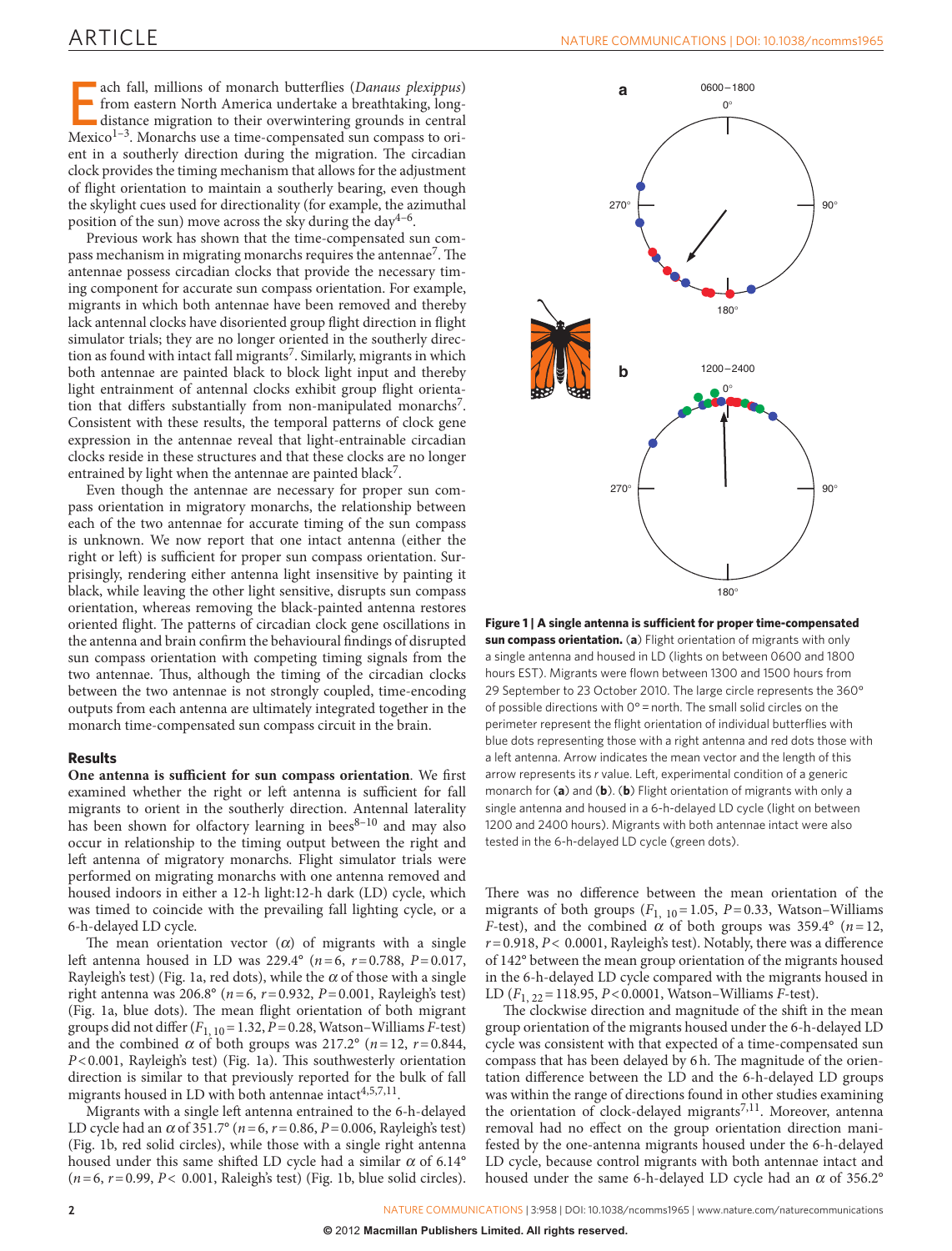# ARTICLE

ach fall, millions of monarch butterflies (*Danaus plexippus*) from eastern North America undertake a breathtaking, long-distance migration to their overwintering grounds in central Mexico<sup>1-3</sup>. Monarchs use a time-compens ach fall, millions of monarch butterflies (*Danaus plexippus*) from eastern North America undertake a breathtaking, longdistance migration to their overwintering grounds in central ent in a southerly direction during the migration. The circadian clock provides the timing mechanism that allows for the adjustment of flight orientation to maintain a southerly bearing, even though the skylight cues used for directionality (for example, the azimuthal position of the sun) move across the sky during the day<sup>4-6</sup>.

Previous work has shown that the time-compensated sun compass mechanism in migrating monarchs requires the antennae[7.](#page-6-2) The antennae possess circadian clocks that provide the necessary timing component for accurate sun compass orientation. For example, migrants in which both antennae have been removed and thereby lack antennal clocks have disoriented group flight direction in flight simulator trials; they are no longer oriented in the southerly direc-tion as found with intact fall migrants<sup>[7](#page-6-2)</sup>. Similarly, migrants in which both antennae are painted black to block light input and thereby light entrainment of antennal clocks exhibit group flight orientation that differs substantially from non-manipulated monarchs<sup>7</sup>. Consistent with these results, the temporal patterns of clock gene expression in the antennae reveal that light-entrainable circadian clocks reside in these structures and that these clocks are no longer entrained by light when the antennae are painted black<sup>[7](#page-6-2)</sup>.

Even though the antennae are necessary for proper sun compass orientation in migratory monarchs, the relationship between each of the two antennae for accurate timing of the sun compass is unknown. We now report that one intact antenna (either the right or left) is sufficient for proper sun compass orientation. Surprisingly, rendering either antenna light insensitive by painting it black, while leaving the other light sensitive, disrupts sun compass orientation, whereas removing the black-painted antenna restores oriented flight. The patterns of circadian clock gene oscillations in the antenna and brain confirm the behavioural findings of disrupted sun compass orientation with competing timing signals from the two antennae. Thus, although the timing of the circadian clocks between the two antennae is not strongly coupled, time-encoding outputs from each antenna are ultimately integrated together in the monarch time-compensated sun compass circuit in the brain.

## **Results**

**One antenna is sufficient for sun compass orientation**. We first examined whether the right or left antenna is sufficient for fall migrants to orient in the southerly direction. Antennal laterality has been shown for olfactory learning in bees $8-10$  and may also occur in relationship to the timing output between the right and left antenna of migratory monarchs. Flight simulator trials were performed on migrating monarchs with one antenna removed and housed indoors in either a 12-h light:12-h dark (LD) cycle, which was timed to coincide with the prevailing fall lighting cycle, or a 6-h-delayed LD cycle.

The mean orientation vector  $(\alpha)$  of migrants with a single left antenna housed in LD was 229.4° (*n*=6, *r*=0.788, *P*=0.017, Rayleigh's test) [\(Fig. 1a,](#page-1-0) red dots), while the  $\alpha$  of those with a single right antenna was 206.8° (*n*=6, *r*=0.932, *P*=0.001, Rayleigh's test) ([Fig. 1a,](#page-1-0) blue dots). The mean flight orientation of both migrant groups did not differ  $(F_{1, 10} = 1.32, P = 0.28, Watson–Williams F-test)$ and the combined  $\alpha$  of both groups was 217.2° ( $n=12$ ,  $r=0.844$ , *P*<0.001, Rayleigh's test) ([Fig. 1a](#page-1-0)). This southwesterly orientation direction is similar to that previously reported for the bulk of fall migrants housed in LD with both antennae intact $4,5,7,11$ .

Migrants with a single left antenna entrained to the 6-h-delayed LD cycle had an α of 351.7° (*n*=6, *r*=0.86, *P*=0.006, Rayleigh's test) ([Fig. 1b](#page-1-0), red solid circles), while those with a single right antenna housed under this same shifted LD cycle had a similar  $\alpha$  of 6.14° (*n*=6, *r*=0.99, *P*< 0.001, Raleigh's test) ([Fig. 1b,](#page-1-0) blue solid circles).



<span id="page-1-0"></span>**Figure 1 | A single antenna is sufficient for proper time-compensated sun compass orientation.** (**a**) Flight orientation of migrants with only a single antenna and housed in LD (lights on between 0600 and 1800 hours EST). Migrants were flown between 1300 and 1500 hours from 29 September to 23 October 2010. The large circle represents the 360° of possible directions with  $0^\circ$  = north. The small solid circles on the perimeter represent the flight orientation of individual butterflies with blue dots representing those with a right antenna and red dots those with a left antenna. Arrow indicates the mean vector and the length of this arrow represents its *r* value. Left, experimental condition of a generic monarch for (**a**) and (**b**). (**b**) Flight orientation of migrants with only a single antenna and housed in a 6-h-delayed LD cycle (light on between 1200 and 2400 hours). Migrants with both antennae intact were also tested in the 6-h-delayed LD cycle (green dots).

There was no difference between the mean orientation of the migrants of both groups  $(F_{1, 10} = 1.05, P = 0.33, Watson–Williams$ *F*-test), and the combined  $\alpha$  of both groups was 359.4° (*n*=12, *r*=0.918, *P*< 0.0001, Rayleigh's test). Notably, there was a difference of 142° between the mean group orientation of the migrants housed in the 6-h-delayed LD cycle compared with the migrants housed in LD (*F*1, 22=118.95, *P*<0.0001, Watson–Williams *F*-test).

The clockwise direction and magnitude of the shift in the mean group orientation of the migrants housed under the 6-h-delayed LD cycle was consistent with that expected of a time-compensated sun compass that has been delayed by 6h. The magnitude of the orientation difference between the LD and the 6-h-delayed LD groups was within the range of directions found in other studies examining the orientation of clock-delayed migrants<sup>7,11</sup>. Moreover, antenna removal had no effect on the group orientation direction manifested by the one-antenna migrants housed under the 6-h-delayed LD cycle, because control migrants with both antennae intact and housed under the same 6-h-delayed LD cycle had an  $\alpha$  of 356.2°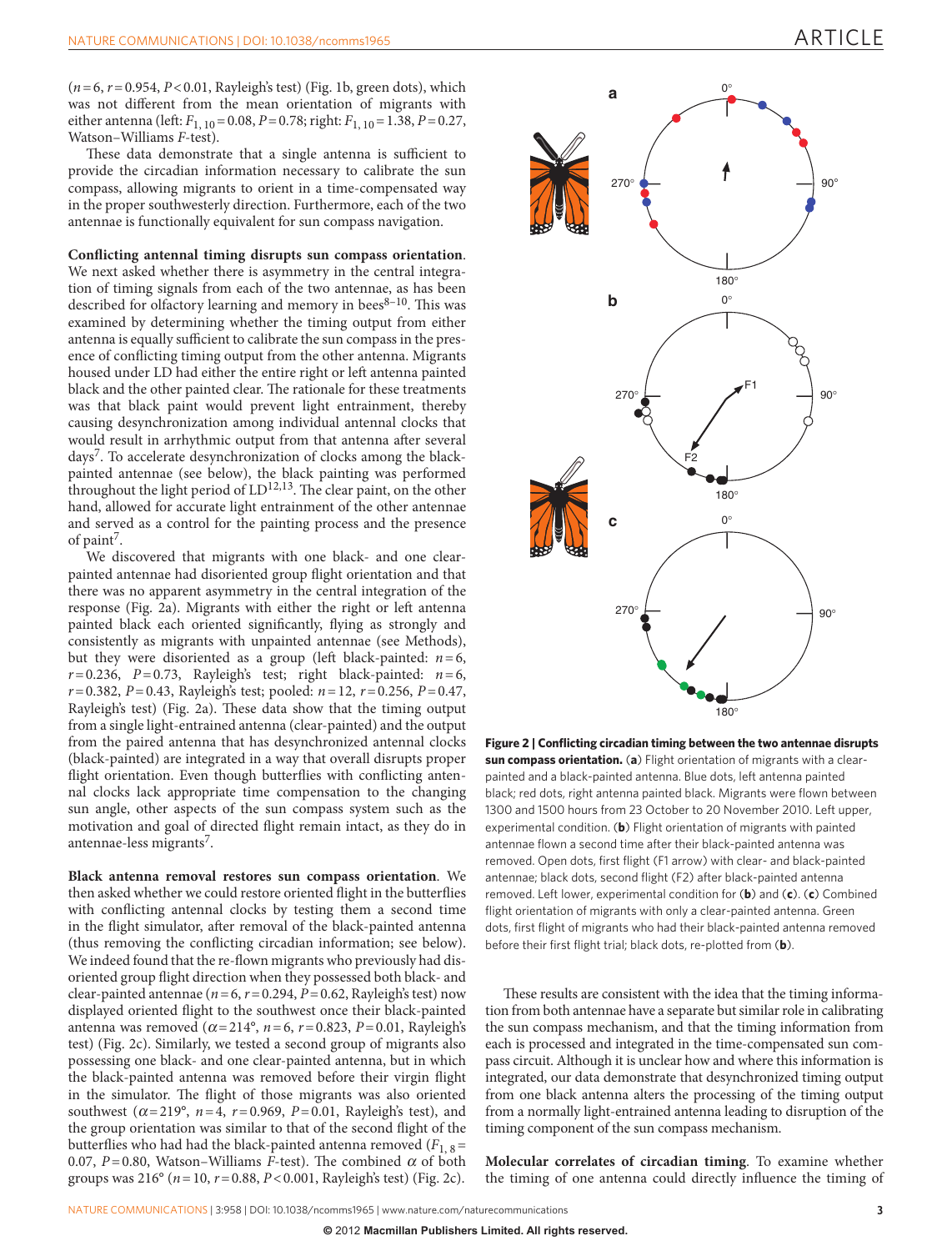(*n*=6, *r*=0.954, *P*<0.01, Rayleigh's test) [\(Fig. 1b,](#page-1-0) green dots), which was not different from the mean orientation of migrants with either antenna (left:  $F_{1, 10} = 0.08$ ,  $P = 0.78$ ; right:  $F_{1, 10} = 1.38$ ,  $P = 0.27$ , Watson–Williams *F*-test).

These data demonstrate that a single antenna is sufficient to provide the circadian information necessary to calibrate the sun compass, allowing migrants to orient in a time-compensated way in the proper southwesterly direction. Furthermore, each of the two antennae is functionally equivalent for sun compass navigation.

# **Conflicting antennal timing disrupts sun compass orientation**.

We next asked whether there is asymmetry in the central integration of timing signals from each of the two antennae, as has been described for olfactory learning and memory in bees $8-10$ . This was examined by determining whether the timing output from either antenna is equally sufficient to calibrate the sun compass in the presence of conflicting timing output from the other antenna. Migrants housed under LD had either the entire right or left antenna painted black and the other painted clear. The rationale for these treatments was that black paint would prevent light entrainment, thereby causing desynchronization among individual antennal clocks that would result in arrhythmic output from that antenna after several days<sup>7</sup>. To accelerate desynchronization of clocks among the blackpainted antennae (see below), the black painting was performed throughout the light period of  $LD^{12,13}$ . The clear paint, on the other hand, allowed for accurate light entrainment of the other antennae and served as a control for the painting process and the presence of paint<sup>7</sup>.

We discovered that migrants with one black- and one clearpainted antennae had disoriented group flight orientation and that there was no apparent asymmetry in the central integration of the response ([Fig. 2a\)](#page-2-0). Migrants with either the right or left antenna painted black each oriented significantly, flying as strongly and consistently as migrants with unpainted antennae (see Methods), but they were disoriented as a group (left black-painted:  $n=6$ ,  $r=0.236$ ,  $P=0.73$ , Rayleigh's test; right black-painted:  $n=6$ , *r*=0.382, *P*=0.43, Rayleigh's test; pooled: *n*=12, *r*=0.256, *P*=0.47, Rayleigh's test) ([Fig. 2a\)](#page-2-0). These data show that the timing output from a single light-entrained antenna (clear-painted) and the output from the paired antenna that has desynchronized antennal clocks (black-painted) are integrated in a way that overall disrupts proper flight orientation. Even though butterflies with conflicting antennal clocks lack appropriate time compensation to the changing sun angle, other aspects of the sun compass system such as the motivation and goal of directed flight remain intact, as they do in antennae-less migrants<sup>7</sup>.

**Black antenna removal restores sun compass orientation**. We then asked whether we could restore oriented flight in the butterflies with conflicting antennal clocks by testing them a second time in the flight simulator, after removal of the black-painted antenna (thus removing the conflicting circadian information; see below). We indeed found that the re-flown migrants who previously had disoriented group flight direction when they possessed both black- and clear-painted antennae (*n*=6, *r*=0.294, *P*=0.62, Rayleigh's test) now displayed oriented flight to the southwest once their black-painted antenna was removed  $(\alpha = 214^{\circ}, n = 6, r = 0.823, P = 0.01, Rayleigh's$ test) [\(Fig. 2c](#page-2-0)). Similarly, we tested a second group of migrants also possessing one black- and one clear-painted antenna, but in which the black-painted antenna was removed before their virgin flight in the simulator. The flight of those migrants was also oriented southwest ( $\alpha = 219^{\circ}$ ,  $n=4$ ,  $r=0.969$ ,  $P=0.01$ , Rayleigh's test), and the group orientation was similar to that of the second flight of the butterflies who had had the black-painted antenna removed  $(F_{1, 8} =$ 0.07,  $P = 0.80$ , Watson–Williams *F*-test). The combined  $\alpha$  of both groups was 216° (*n*=10, *r*=0.88, *P*<0.001, Rayleigh's test) [\(Fig. 2c\)](#page-2-0).



<span id="page-2-0"></span>**Figure 2 | Conflicting circadian timing between the two antennae disrupts sun compass orientation.** (**a**) Flight orientation of migrants with a clearpainted and a black-painted antenna. Blue dots, left antenna painted black; red dots, right antenna painted black. Migrants were flown between 1300 and 1500 hours from 23 October to 20 November 2010. Left upper, experimental condition. (**b**) Flight orientation of migrants with painted antennae flown a second time after their black-painted antenna was removed. Open dots, first flight (F1 arrow) with clear- and black-painted antennae; black dots, second flight (F2) after black-painted antenna removed. Left lower, experimental condition for (**b**) and (**c**). (**c**) Combined flight orientation of migrants with only a clear-painted antenna. Green dots, first flight of migrants who had their black-painted antenna removed before their first flight trial; black dots, re-plotted from (**b**).

These results are consistent with the idea that the timing information from both antennae have a separate but similar role in calibrating the sun compass mechanism, and that the timing information from each is processed and integrated in the time-compensated sun compass circuit. Although it is unclear how and where this information is integrated, our data demonstrate that desynchronized timing output from one black antenna alters the processing of the timing output from a normally light-entrained antenna leading to disruption of the timing component of the sun compass mechanism.

**Molecular correlates of circadian timing**. To examine whether the timing of one antenna could directly influence the timing of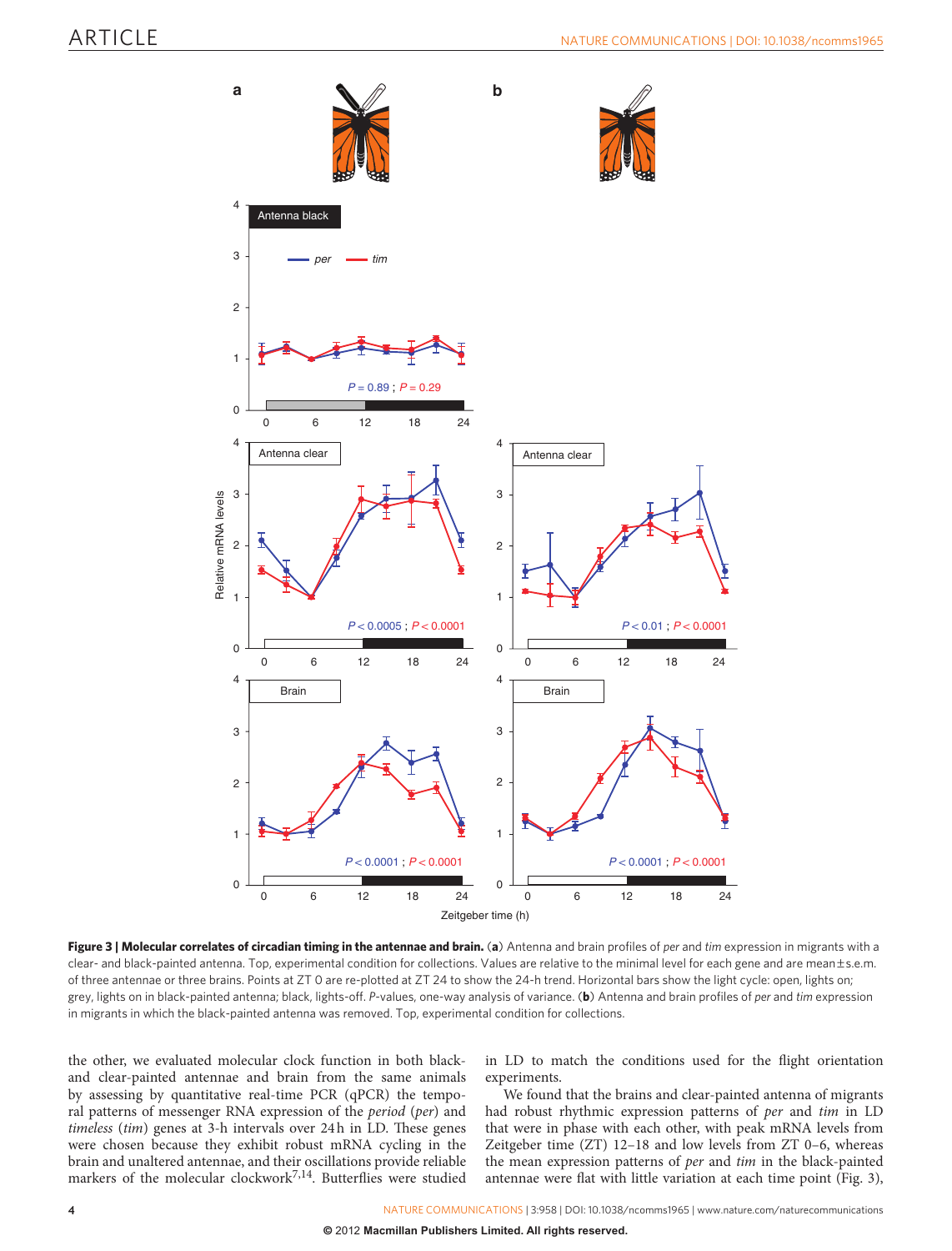

<span id="page-3-0"></span>**Figure 3 | Molecular correlates of circadian timing in the antennae and brain.** (**a**) Antenna and brain profiles of *per* and *tim* expression in migrants with a clear- and black-painted antenna. Top, experimental condition for collections. Values are relative to the minimal level for each gene and are mean±s.e.m. of three antennae or three brains. Points at ZT 0 are re-plotted at ZT 24 to show the 24-h trend. Horizontal bars show the light cycle: open, lights on; grey, lights on in black-painted antenna; black, lights-off. *P*-values, one-way analysis of variance. (**b**) Antenna and brain profiles of *per* and *tim* expression in migrants in which the black-painted antenna was removed. Top, experimental condition for collections.

the other, we evaluated molecular clock function in both blackand clear-painted antennae and brain from the same animals by assessing by quantitative real-time PCR (qPCR) the temporal patterns of messenger RNA expression of the *period* (*per*) and *timeless* (*tim*) genes at 3-h intervals over 24h in LD. These genes were chosen because they exhibit robust mRNA cycling in the brain and unaltered antennae, and their oscillations provide reliable markers of the molecular clockwork<sup>[7,14](#page-6-2)</sup>. Butterflies were studied

in LD to match the conditions used for the flight orientation experiments.

We found that the brains and clear-painted antenna of migrants had robust rhythmic expression patterns of *per* and *tim* in LD that were in phase with each other, with peak mRNA levels from Zeitgeber time (ZT) 12–18 and low levels from ZT 0–6, whereas the mean expression patterns of *per* and *tim* in the black-painted antennae were flat with little variation at each time point [\(Fig. 3](#page-3-0)),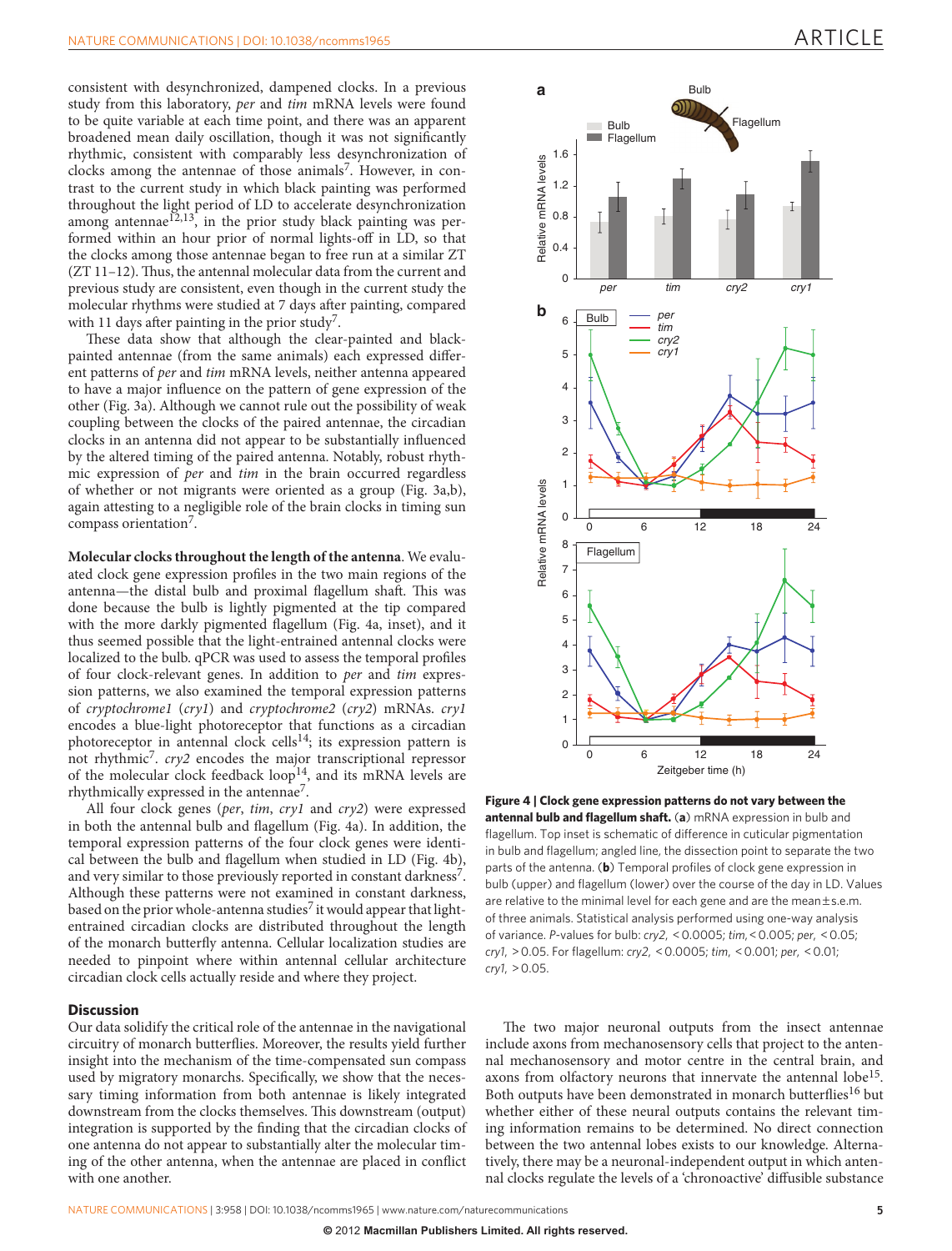consistent with desynchronized, dampened clocks. In a previous study from this laboratory, *per* and *tim* mRNA levels were found to be quite variable at each time point, and there was an apparent broadened mean daily oscillation, though it was not significantly rhythmic, consistent with comparably less desynchronization of clocks among the antennae of those animals<sup>7</sup>. However, in contrast to the current study in which black painting was performed throughout the light period of LD to accelerate desynchronization among antennae $\tilde{12,13}$ , in the prior study black painting was performed within an hour prior of normal lights-off in LD, so that the clocks among those antennae began to free run at a similar ZT (ZT 11–12). Thus, the antennal molecular data from the current and previous study are consistent, even though in the current study the molecular rhythms were studied at 7 days after painting, compared with 11 days after painting in the prior study<sup>[7](#page-6-2)</sup>.

These data show that although the clear-painted and blackpainted antennae (from the same animals) each expressed different patterns of *per* and *tim* mRNA levels, neither antenna appeared to have a major influence on the pattern of gene expression of the other ([Fig. 3a](#page-3-0)). Although we cannot rule out the possibility of weak coupling between the clocks of the paired antennae, the circadian clocks in an antenna did not appear to be substantially influenced by the altered timing of the paired antenna. Notably, robust rhythmic expression of *per* and *tim* in the brain occurred regardless of whether or not migrants were oriented as a group ([Fig. 3a,b](#page-3-0)), again attesting to a negligible role of the brain clocks in timing sun compass orientation<sup>[7](#page-6-2)</sup>.

**Molecular clocks throughout the length of the antenna**. We evaluated clock gene expression profiles in the two main regions of the antenna—the distal bulb and proximal flagellum shaft. This was done because the bulb is lightly pigmented at the tip compared with the more darkly pigmented flagellum ([Fig. 4a](#page-4-0), inset), and it thus seemed possible that the light-entrained antennal clocks were localized to the bulb. qPCR was used to assess the temporal profiles of four clock-relevant genes. In addition to *per* and *tim* expression patterns, we also examined the temporal expression patterns of *cryptochrome1* (*cry1*) and *cryptochrome2* (*cry2*) mRNAs. *cry1* encodes a blue-light photoreceptor that functions as a circadian photoreceptor in antennal clock cells<sup>[14](#page-6-5)</sup>; its expression pattern is not rhythmic[7.](#page-6-2) *cry2* encodes the major transcriptional repressor of the molecular clock feedback  $loop^{14}$ , and its mRNA levels are rhythmically expressed in the antennae[7](#page-6-2).

All four clock genes (*per*, *tim*, *cry1* and *cry2*) were expressed in both the antennal bulb and flagellum [\(Fig. 4a](#page-4-0)). In addition, the temporal expression patterns of the four clock genes were identical between the bulb and flagellum when studied in LD [\(Fig. 4b](#page-4-0)), and very similar to those previously reported in constant darkness<sup>7</sup>. Although these patterns were not examined in constant darkness, based on the prior whole-antenna studies<sup>[7](#page-6-2)</sup> it would appear that lightentrained circadian clocks are distributed throughout the length of the monarch butterfly antenna. Cellular localization studies are needed to pinpoint where within antennal cellular architecture circadian clock cells actually reside and where they project.

# **Discussion**

Our data solidify the critical role of the antennae in the navigational circuitry of monarch butterflies. Moreover, the results yield further insight into the mechanism of the time-compensated sun compass used by migratory monarchs. Specifically, we show that the necessary timing information from both antennae is likely integrated downstream from the clocks themselves. This downstream (output) integration is supported by the finding that the circadian clocks of one antenna do not appear to substantially alter the molecular timing of the other antenna, when the antennae are placed in conflict with one another.



<span id="page-4-0"></span>**Figure 4 | Clock gene expression patterns do not vary between the antennal bulb and flagellum shaft.** (**a**) mRNA expression in bulb and flagellum. Top inset is schematic of difference in cuticular pigmentation in bulb and flagellum; angled line, the dissection point to separate the two parts of the antenna. (**b**) Temporal profiles of clock gene expression in bulb (upper) and flagellum (lower) over the course of the day in LD. Values are relative to the minimal level for each gene and are the mean±s.e.m. of three animals. Statistical analysis performed using one-way analysis of variance. *P*-values for bulb: *cry2*, <0.0005; *tim*,<0.005; *per*, <0.05; *cry1*, >0.05. For flagellum: *cry2*, <0.0005; *tim*, <0.001; *per*, <0.01; *cry1*, >0.05.

The two major neuronal outputs from the insect antennae include axons from mechanosensory cells that project to the antennal mechanosensory and motor centre in the central brain, and axons from olfactory neurons that innervate the antennal lobe<sup>15</sup>. Both outputs have been demonstrated in monarch butterflies<sup>[16](#page-6-7)</sup> but whether either of these neural outputs contains the relevant timing information remains to be determined. No direct connection between the two antennal lobes exists to our knowledge. Alternatively, there may be a neuronal-independent output in which antennal clocks regulate the levels of a 'chronoactive' diffusible substance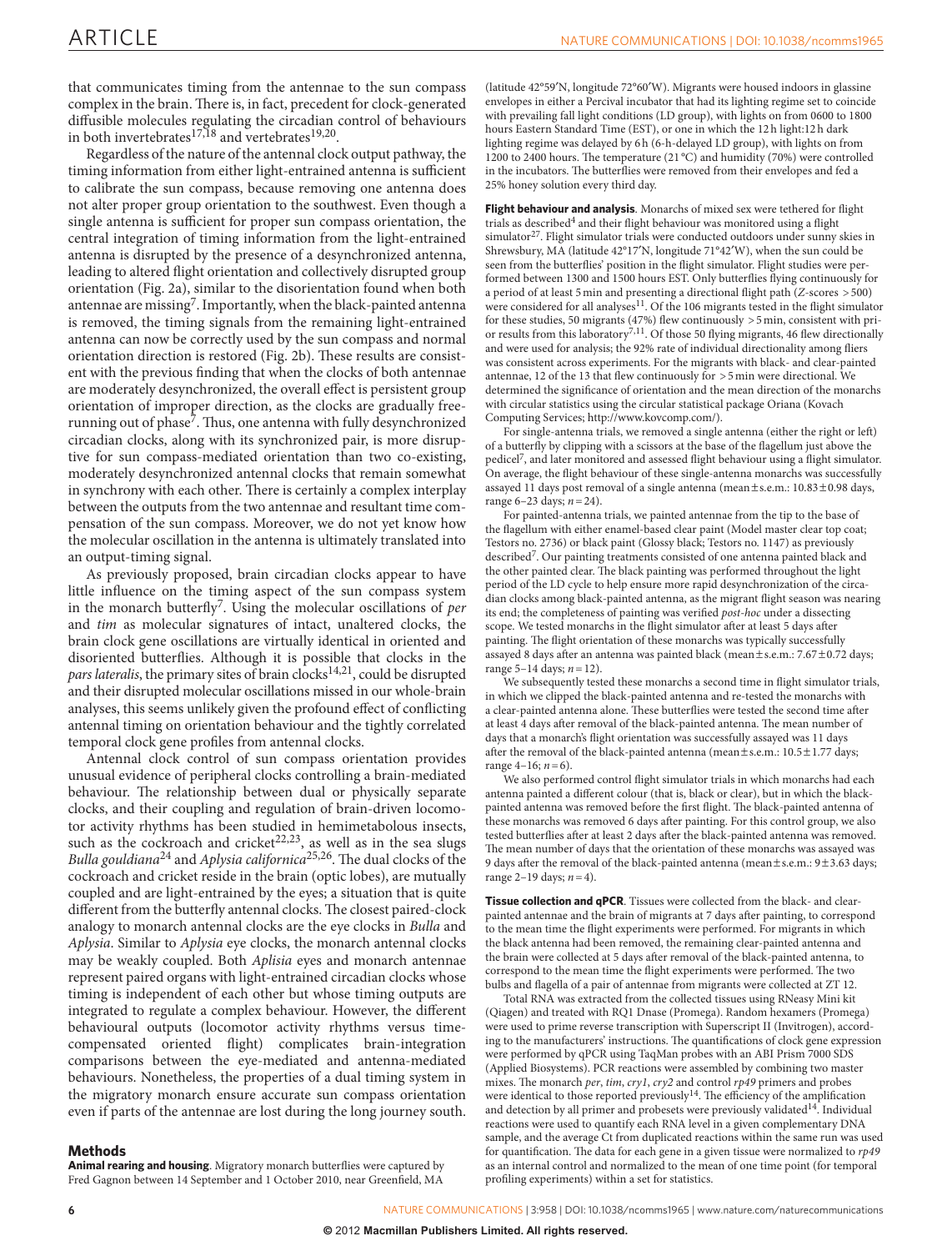that communicates timing from the antennae to the sun compass complex in the brain. There is, in fact, precedent for clock-generated diffusible molecules regulating the circadian control of behaviours in both invertebrates<sup>17,18</sup> and vertebrates<sup>19,20</sup>.

Regardless of the nature of the antennal clock output pathway, the timing information from either light-entrained antenna is sufficient to calibrate the sun compass, because removing one antenna does not alter proper group orientation to the southwest. Even though a single antenna is sufficient for proper sun compass orientation, the central integration of timing information from the light-entrained antenna is disrupted by the presence of a desynchronized antenna, leading to altered flight orientation and collectively disrupted group orientation [\(Fig. 2a\)](#page-2-0), similar to the disorientation found when both antennae are missing<sup>7</sup>. Importantly, when the black-painted antenna is removed, the timing signals from the remaining light-entrained antenna can now be correctly used by the sun compass and normal orientation direction is restored [\(Fig. 2b](#page-2-0)). These results are consistent with the previous finding that when the clocks of both antennae are moderately desynchronized, the overall effect is persistent group orientation of improper direction, as the clocks are gradually freerunning out of phase<sup>7</sup>. Thus, one antenna with fully desynchronized circadian clocks, along with its synchronized pair, is more disruptive for sun compass-mediated orientation than two co-existing, moderately desynchronized antennal clocks that remain somewhat in synchrony with each other. There is certainly a complex interplay between the outputs from the two antennae and resultant time compensation of the sun compass. Moreover, we do not yet know how the molecular oscillation in the antenna is ultimately translated into an output-timing signal.

As previously proposed, brain circadian clocks appear to have little influence on the timing aspect of the sun compass system in the monarch butterfly[7.](#page-6-2) Using the molecular oscillations of *per* and *tim* as molecular signatures of intact, unaltered clocks, the brain clock gene oscillations are virtually identical in oriented and disoriented butterflies. Although it is possible that clocks in the *pars lateralis*, the primary sites of brain clocks<sup>14,21</sup>, could be disrupted and their disrupted molecular oscillations missed in our whole-brain analyses, this seems unlikely given the profound effect of conflicting antennal timing on orientation behaviour and the tightly correlated temporal clock gene profiles from antennal clocks.

Antennal clock control of sun compass orientation provides unusual evidence of peripheral clocks controlling a brain-mediated behaviour. The relationship between dual or physically separate clocks, and their coupling and regulation of brain-driven locomotor activity rhythms has been studied in hemimetabolous insects, such as the cockroach and cricket<sup>22,23</sup>, as well as in the sea slugs *Bulla gouldiana*[24](#page-6-11) and *Aplysia californica*[25,26.](#page-6-12) The dual clocks of the cockroach and cricket reside in the brain (optic lobes), are mutually coupled and are light-entrained by the eyes; a situation that is quite different from the butterfly antennal clocks. The closest paired-clock analogy to monarch antennal clocks are the eye clocks in *Bulla* and *Aplysia*. Similar to *Aplysia* eye clocks, the monarch antennal clocks may be weakly coupled. Both *Aplisia* eyes and monarch antennae represent paired organs with light-entrained circadian clocks whose timing is independent of each other but whose timing outputs are integrated to regulate a complex behaviour. However, the different behavioural outputs (locomotor activity rhythms versus timecompensated oriented flight) complicates brain-integration comparisons between the eye-mediated and antenna-mediated behaviours. Nonetheless, the properties of a dual timing system in the migratory monarch ensure accurate sun compass orientation even if parts of the antennae are lost during the long journey south.

#### **Methods**

**Animal rearing and housing**. Migratory monarch butterflies were captured by Fred Gagnon between 14 September and 1 October 2010, near Greenfield, MA (latitude 42°59′N, longitude 72°60′W). Migrants were housed indoors in glassine envelopes in either a Percival incubator that had its lighting regime set to coincide with prevailing fall light conditions (LD group), with lights on from 0600 to 1800 hours Eastern Standard Time (EST), or one in which the 12h light:12h dark lighting regime was delayed by 6h (6-h-delayed LD group), with lights on from 1200 to 2400 hours. The temperature (21 °C) and humidity (70%) were controlled in the incubators. The butterflies were removed from their envelopes and fed a 25% honey solution every third day.

**Flight behaviour and analysis**. Monarchs of mixed sex were tethered for flight trials as described<sup>4</sup> and their flight behaviour was monitored using a flight  $simulator<sup>27</sup>$ . Flight simulator trials were conducted outdoors under sunny skies in Shrewsbury, MA (latitude 42°17′N, longitude 71°42′W), when the sun could be seen from the butterflies' position in the flight simulator. Flight studies were performed between 1300 and 1500 hours EST. Only butterflies flying continuously for a period of at least 5min and presenting a directional flight path (*Z*-scores >500) were considered for all analyses $^{11}$ . Of the 106 migrants tested in the flight simulator for these studies, 50 migrants (47%) flew continuously >5min, consistent with prior results from this laboratory<sup>7,11</sup>. Of those 50 flying migrants, 46 flew directionally and were used for analysis; the 92% rate of individual directionality among fliers was consistent across experiments. For the migrants with black- and clear-painted antennae, 12 of the 13 that flew continuously for >5min were directional. We determined the significance of orientation and the mean direction of the monarchs with circular statistics using the circular statistical package Oriana (Kovach Computing Services; http://www.kovcomp.com/).

For single-antenna trials, we removed a single antenna (either the right or left) of a butterfly by clipping with a scissors at the base of the flagellum just above the pedice[l7,](#page-6-2) and later monitored and assessed flight behaviour using a flight simulator. On average, the flight behaviour of these single-antenna monarchs was successfully assayed 11 days post removal of a single antenna (mean±s.e.m.: 10.83±0.98 days, range 6–23 days; *n*=24).

For painted-antenna trials, we painted antennae from the tip to the base of the flagellum with either enamel-based clear paint (Model master clear top coat; Testors no. 2736) or black paint (Glossy black; Testors no. 1147) as previously described<sup>7</sup>. Our painting treatments consisted of one antenna painted black and the other painted clear. The black painting was performed throughout the light period of the LD cycle to help ensure more rapid desynchronization of the circadian clocks among black-painted antenna, as the migrant flight season was nearing its end; the completeness of painting was verified *post-hoc* under a dissecting scope. We tested monarchs in the flight simulator after at least 5 days after painting. The flight orientation of these monarchs was typically successfully assayed 8 days after an antenna was painted black (mean±s.e.m.: 7.67±0.72 days; range 5–14 days; *n*=12).

We subsequently tested these monarchs a second time in flight simulator trials, in which we clipped the black-painted antenna and re-tested the monarchs with a clear-painted antenna alone. These butterflies were tested the second time after at least 4 days after removal of the black-painted antenna. The mean number of days that a monarch's flight orientation was successfully assayed was 11 days after the removal of the black-painted antenna (mean±s.e.m.: 10.5±1.77 days; range 4–16; *n*=6).

We also performed control flight simulator trials in which monarchs had each antenna painted a different colour (that is, black or clear), but in which the blackpainted antenna was removed before the first flight. The black-painted antenna of these monarchs was removed 6 days after painting. For this control group, we also tested butterflies after at least 2 days after the black-painted antenna was removed. The mean number of days that the orientation of these monarchs was assayed was 9 days after the removal of the black-painted antenna (mean±s.e.m.: 9±3.63 days; range 2–19 days; *n*=4).

**Tissue collection and qPCR**. Tissues were collected from the black- and clearpainted antennae and the brain of migrants at 7 days after painting, to correspond to the mean time the flight experiments were performed. For migrants in which the black antenna had been removed, the remaining clear-painted antenna and the brain were collected at 5 days after removal of the black-painted antenna, to correspond to the mean time the flight experiments were performed. The two bulbs and flagella of a pair of antennae from migrants were collected at ZT 12.

Total RNA was extracted from the collected tissues using RNeasy Mini kit (Qiagen) and treated with RQ1 Dnase (Promega). Random hexamers (Promega) were used to prime reverse transcription with Superscript II (Invitrogen), according to the manufacturers' instructions. The quantifications of clock gene expression were performed by qPCR using TaqMan probes with an ABI Prism 7000 SDS (Applied Biosystems). PCR reactions were assembled by combining two master mixes. The monarch *per*, *tim*, *cry1*, *cry2* and control *rp49* primers and probes were identical to those reported previously $14$ . The efficiency of the amplification and detection by all primer and probesets were previously validated<sup>14</sup>. Individual reactions were used to quantify each RNA level in a given complementary DNA sample, and the average Ct from duplicated reactions within the same run was used for quantification. The data for each gene in a given tissue were normalized to *rp49* as an internal control and normalized to the mean of one time point (for temporal profiling experiments) within a set for statistics.